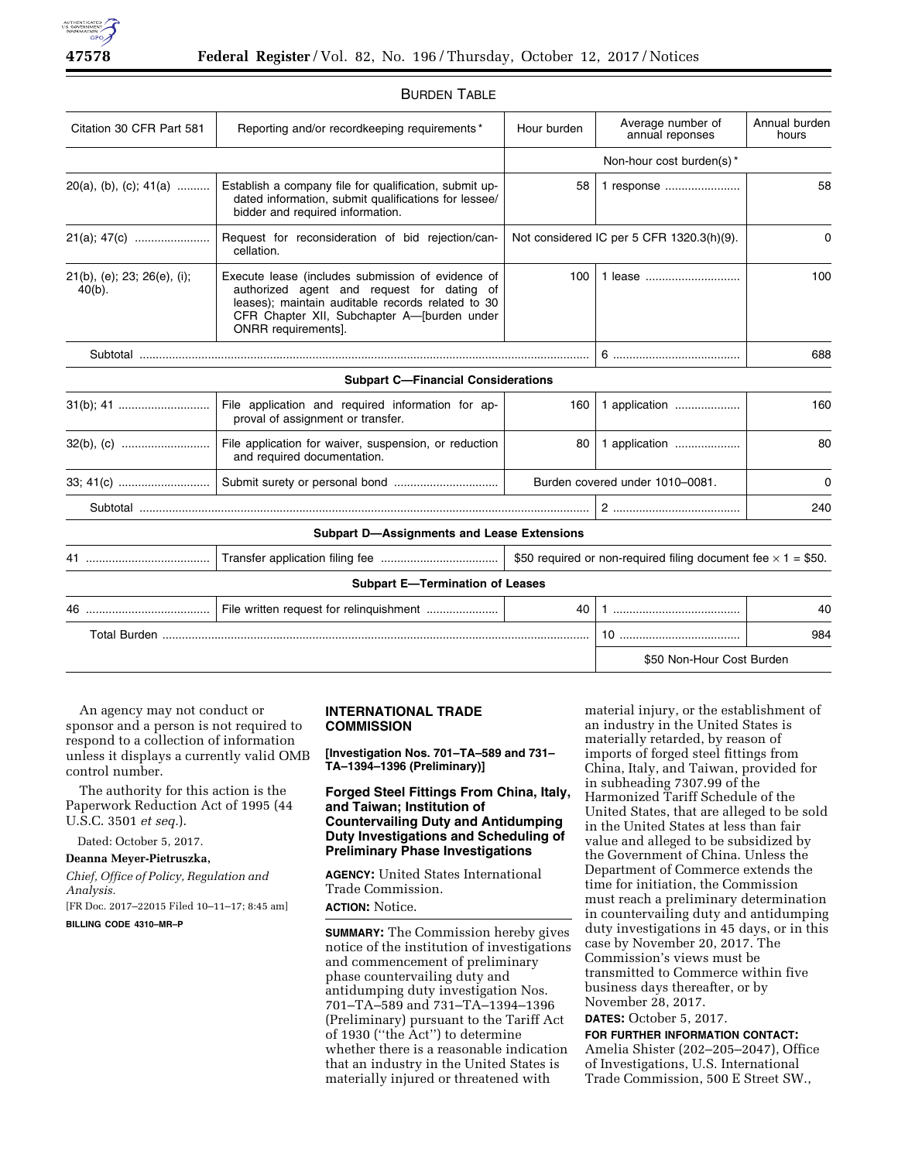

| Citation 30 CFR Part 581                 | Reporting and/or recordkeeping requirements*                                                                                                                                                                               | Hour burden                               | Average number of<br>annual reponses                                 | Annual burden<br>hours |
|------------------------------------------|----------------------------------------------------------------------------------------------------------------------------------------------------------------------------------------------------------------------------|-------------------------------------------|----------------------------------------------------------------------|------------------------|
|                                          |                                                                                                                                                                                                                            |                                           | Non-hour cost burden(s)*                                             |                        |
| $20(a)$ , (b), (c); $41(a)$              | Establish a company file for qualification, submit up-<br>dated information, submit qualifications for lessee/<br>bidder and required information.                                                                         | 58                                        | 1 response                                                           | 58                     |
| 21(a); 47(c)                             | Request for reconsideration of bid rejection/can-<br>cellation.                                                                                                                                                            | Not considered IC per 5 CFR 1320.3(h)(9). |                                                                      | $\Omega$               |
| 21(b), (e); 23; 26(e), (i);<br>$40(b)$ . | Execute lease (includes submission of evidence of<br>authorized agent and request for dating of<br>leases); maintain auditable records related to 30<br>CFR Chapter XII, Subchapter A-[burden under<br>ONRR requirements]. | 100                                       | 1 lease                                                              | 100                    |
|                                          |                                                                                                                                                                                                                            |                                           |                                                                      | 688                    |
|                                          | <b>Subpart C-Financial Considerations</b>                                                                                                                                                                                  |                                           |                                                                      |                        |
|                                          | File application and required information for ap-<br>proval of assignment or transfer.                                                                                                                                     | 160                                       | 1 application                                                        | 160                    |
|                                          | File application for waiver, suspension, or reduction<br>and required documentation.                                                                                                                                       | 80                                        | 1 application                                                        | 80                     |
|                                          |                                                                                                                                                                                                                            | Burden covered under 1010-0081.           |                                                                      | 0                      |
|                                          |                                                                                                                                                                                                                            |                                           |                                                                      | 240                    |
|                                          | <b>Subpart D-Assignments and Lease Extensions</b>                                                                                                                                                                          |                                           |                                                                      |                        |
|                                          |                                                                                                                                                                                                                            |                                           | \$50 required or non-required filing document fee $\times$ 1 = \$50. |                        |
|                                          | <b>Subpart E-Termination of Leases</b>                                                                                                                                                                                     |                                           |                                                                      |                        |
| 46.                                      |                                                                                                                                                                                                                            | 40                                        |                                                                      | 40                     |
|                                          |                                                                                                                                                                                                                            |                                           |                                                                      | 984                    |

### BURDEN TABLE

An agency may not conduct or sponsor and a person is not required to respond to a collection of information unless it displays a currently valid OMB control number.

The authority for this action is the Paperwork Reduction Act of 1995 (44 U.S.C. 3501 *et seq.*).

Dated: October 5, 2017.

**Deanna Meyer-Pietruszka,** 

*Chief, Office of Policy, Regulation and Analysis.* 

[FR Doc. 2017–22015 Filed 10–11–17; 8:45 am]

**BILLING CODE 4310–MR–P** 

### **INTERNATIONAL TRADE COMMISSION**

**[Investigation Nos. 701–TA–589 and 731– TA–1394–1396 (Preliminary)]** 

**Forged Steel Fittings From China, Italy, and Taiwan; Institution of Countervailing Duty and Antidumping Duty Investigations and Scheduling of Preliminary Phase Investigations** 

**AGENCY:** United States International Trade Commission.

**ACTION:** Notice.

**SUMMARY:** The Commission hereby gives notice of the institution of investigations and commencement of preliminary phase countervailing duty and antidumping duty investigation Nos. 701–TA–589 and 731–TA–1394–1396 (Preliminary) pursuant to the Tariff Act of 1930 (''the Act'') to determine whether there is a reasonable indication that an industry in the United States is materially injured or threatened with

material injury, or the establishment of an industry in the United States is materially retarded, by reason of imports of forged steel fittings from China, Italy, and Taiwan, provided for in subheading 7307.99 of the Harmonized Tariff Schedule of the United States, that are alleged to be sold in the United States at less than fair value and alleged to be subsidized by the Government of China. Unless the Department of Commerce extends the time for initiation, the Commission must reach a preliminary determination in countervailing duty and antidumping duty investigations in 45 days, or in this case by November 20, 2017. The Commission's views must be transmitted to Commerce within five business days thereafter, or by November 28, 2017.

\$50 Non-Hour Cost Burden

**DATES:** October 5, 2017.

**FOR FURTHER INFORMATION CONTACT:**  Amelia Shister (202–205–2047), Office of Investigations, U.S. International Trade Commission, 500 E Street SW.,